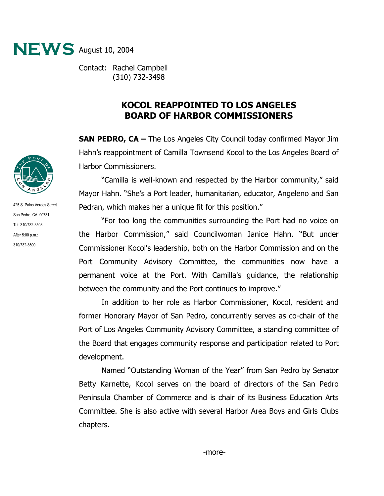

Contact: Rachel Campbell (310) 732-3498

## **KOCOL REAPPOINTED TO LOS ANGELES BOARD OF HARBOR COMMISSIONERS**

**SAN PEDRO, CA –** The Los Angeles City Council today confirmed Mayor Jim Hahn's reappointment of Camilla Townsend Kocol to the Los Angeles Board of Harbor Commissioners.

"Camilla is well-known and respected by the Harbor community," said Mayor Hahn. "She's a Port leader, humanitarian, educator, Angeleno and San Pedran, which makes her a unique fit for this position."

"For too long the communities surrounding the Port had no voice on the Harbor Commission," said Councilwoman Janice Hahn. "But under Commissioner Kocol's leadership, both on the Harbor Commission and on the Port Community Advisory Committee, the communities now have a permanent voice at the Port. With Camilla's guidance, the relationship between the community and the Port continues to improve."

In addition to her role as Harbor Commissioner, Kocol, resident and former Honorary Mayor of San Pedro, concurrently serves as co-chair of the Port of Los Angeles Community Advisory Committee, a standing committee of the Board that engages community response and participation related to Port development.

Named "Outstanding Woman of the Year" from San Pedro by Senator Betty Karnette, Kocol serves on the board of directors of the San Pedro Peninsula Chamber of Commerce and is chair of its Business Education Arts Committee. She is also active with several Harbor Area Boys and Girls Clubs chapters.



425 S. Palos Verdes Street San Pedro, CA 90731 Tel: 310/732-3508 After 5:00 p.m.: 310/732-3500